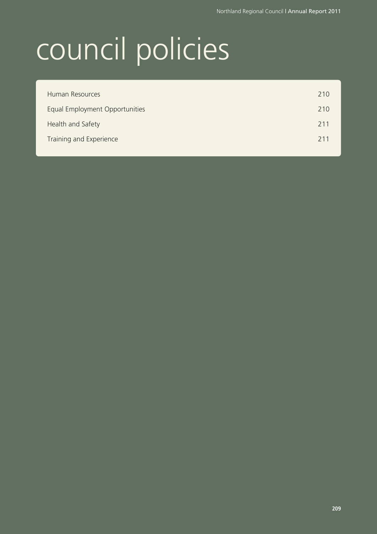# council policies

| 210<br>Human Resources                |  |
|---------------------------------------|--|
| Equal Employment Opportunities<br>210 |  |
| Health and Safety<br>211              |  |
| Training and Experience<br>211        |  |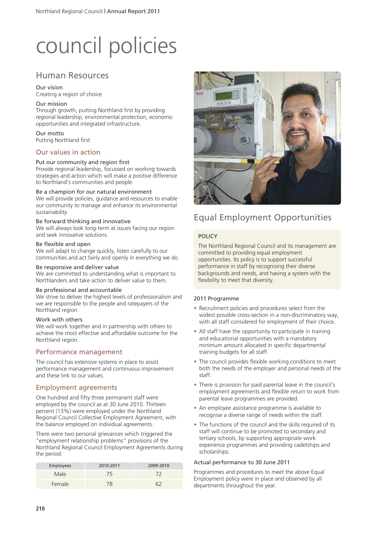# council policies

### Human Resources

#### Our vision

Creating a region of choice

#### Our mission

Through growth, putting Northland first by providing regional leadership, environmental protection, economic opportunities and integrated infrastructure.

#### Our motto

Putting Northland first

#### Our values in action

#### Put our community and region first

Provide regional leadership, focussed on working towards strategies and action which will make a positive difference to Northland's communities and people.

#### Be a champion for our natural environment

We will provide policies, guidance and resources to enable our community to manage and enhance its environmental sustainability.

#### Be forward thinking and innovative

We will always look long-term at issues facing our region and seek innovative solutions.

#### Be flexible and open

We will adapt to change quickly, listen carefully to our communities and act fairly and openly in everything we do.

#### Be responsive and deliver value

We are committed to understanding what is important to Northlanders and take action to deliver value to them.

#### Be professional and accountable

We strive to deliver the highest levels of professionalism and we are responsible to the people and ratepayers of the Northland region.

#### Work with others

We will work together and in partnership with others to achieve the most effective and affordable outcome for the Northland region.

#### Performance management

The council has extensive systems in place to assist performance management and continuous improvement and these link to our values.

#### Employment agreements

One hundred and fifty three permanent staff were employed by the council as at 30 June 2010. Thirteen percent (13%) were employed under the Northland Regional Council Collective Employment Agreement, with the balance employed on individual agreements.

There were two personal grievances which triggered the "employment relationship problems" provisions of the Northland Regional Council Employment Agreements during the period.

| <b>Employees</b> | 2010-2011 | 2009-2010 |
|------------------|-----------|-----------|
| Male             | 75        | 72        |
| Female           | 78        |           |



# Equal Employment Opportunities

#### POLICY

The Northland Regional Council and its management are committed to providing equal employment opportunities. Its policy is to support successful performance in staff by recognising their diverse backgrounds and needs, and having a system with the flexibility to meet that diversity.

#### 2011 Programme

- Recruitment policies and procedures select from the widest possible cross-section in a non-discriminatory way, with all staff considered for employment of their choice.
- All staff have the opportunity to participate in training and educational opportunities with a mandatory minimum amount allocated in specific departmental training budgets for all staff.
- The council provides flexible working conditions to meet both the needs of the employer and personal needs of the staff.
- There is provision for paid parental leave in the council's employment agreements and flexible return to work from parental leave programmes are provided.
- An employee assistance programme is available to recognise a diverse range of needs within the staff.
- The functions of the council and the skills required of its staff will continue to be promoted to secondary and tertiary schools, by supporting appropriate work experience programmes and providing cadetships and scholarships.

#### Actual performance to 30 June 2011

Programmes and procedures to meet the above Equal Employment policy were in place and observed by all departments throughout the year.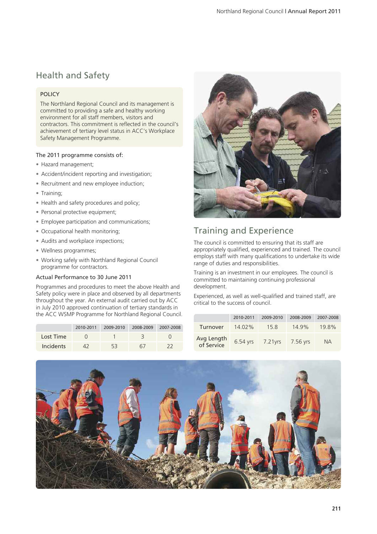# Health and Safety

#### POLICY

The Northland Regional Council and its management is committed to providing a safe and healthy working environment for all staff members, visitors and contractors. This commitment is reflected in the council's achievement of tertiary level status in ACC's Workplace Safety Management Programme.

#### The 2011 programme consists of:

- Hazard management;
- Accident/incident reporting and investigation;
- Recruitment and new employee induction;
- Training;
- Health and safety procedures and policy;
- Personal protective equipment;
- Employee participation and communications;
- Occupational health monitoring;
- Audits and workplace inspections;
- Wellness programmes;
- Working safely with Northland Regional Council programme for contractors.

#### Actual Performance to 30 June 2011

Programmes and procedures to meet the above Health and Safety policy were in place and observed by all departments throughout the year. An external audit carried out by ACC in July 2010 approved continuation of tertiary standards in the ACC WSMP Programme for Northland Regional Council.

|                  | 2010-2011 | 2009-2010 | 2008-2009 | 2007-2008 |
|------------------|-----------|-----------|-----------|-----------|
| Lost Time        |           |           |           |           |
| <b>Incidents</b> |           | 53        | 61        |           |



## Training and Experience

The council is committed to ensuring that its staff are appropriately qualified, experienced and trained. The council employs staff with many qualifications to undertake its wide range of duties and responsibilities.

Training is an investment in our employees. The council is committed to maintaining continuing professional development.

Experienced, as well as well-qualified and trained staff, are critical to the success of council.

|                          | 2010-2011 | 2009-2010 | 2008-2009 | 2007-2008 |
|--------------------------|-----------|-----------|-----------|-----------|
| Turnover                 | 14.02%    | 15.8      | 149%      | 19.8%     |
| Avg Length<br>of Service | 6.54 yrs  | 7.21 vrs  | 7.56 yrs  | <b>NA</b> |